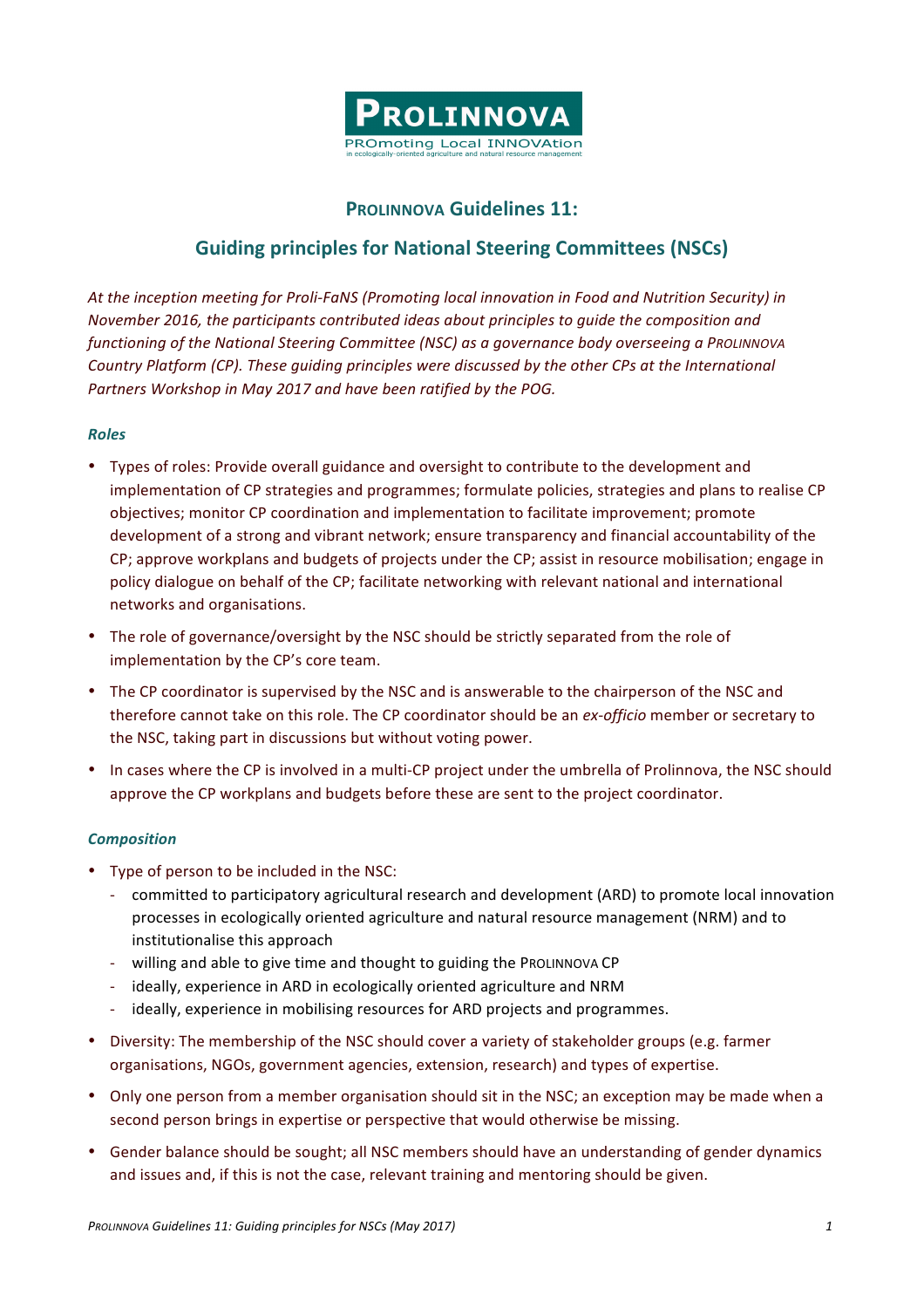

## **PROLINNOVA Guidelines 11:**

# **Guiding principles for National Steering Committees (NSCs)**

At the inception meeting for Proli-FaNS (Promoting local innovation in Food and Nutrition Security) in *November 2016, the participants contributed ideas about principles to quide the composition and functioning* of the National Steering Committee (NSC) as a governance body overseeing a PROLINNOVA *Country Platform (CP). These quiding principles were discussed by the other CPs at the International* Partners Workshop in May 2017 and have been ratified by the POG.

### *Roles*

- Types of roles: Provide overall guidance and oversight to contribute to the development and implementation of CP strategies and programmes; formulate policies, strategies and plans to realise CP objectives; monitor CP coordination and implementation to facilitate improvement; promote development of a strong and vibrant network; ensure transparency and financial accountability of the CP; approve workplans and budgets of projects under the CP; assist in resource mobilisation; engage in policy dialogue on behalf of the CP; facilitate networking with relevant national and international networks and organisations.
- The role of governance/oversight by the NSC should be strictly separated from the role of implementation by the CP's core team.
- The CP coordinator is supervised by the NSC and is answerable to the chairperson of the NSC and therefore cannot take on this role. The CP coordinator should be an *ex-officio* member or secretary to the NSC, taking part in discussions but without voting power.
- In cases where the CP is involved in a multi-CP project under the umbrella of Prolinnova, the NSC should approve the CP workplans and budgets before these are sent to the project coordinator.

#### *Composition*

- Type of person to be included in the NSC:
	- committed to participatory agricultural research and development (ARD) to promote local innovation processes in ecologically oriented agriculture and natural resource management (NRM) and to institutionalise this approach
	- willing and able to give time and thought to guiding the PROLINNOVA CP
	- ideally, experience in ARD in ecologically oriented agriculture and NRM
	- ideally, experience in mobilising resources for ARD projects and programmes.
- Diversity: The membership of the NSC should cover a variety of stakeholder groups (e.g. farmer organisations, NGOs, government agencies, extension, research) and types of expertise.
- Only one person from a member organisation should sit in the NSC; an exception may be made when a second person brings in expertise or perspective that would otherwise be missing.
- Gender balance should be sought; all NSC members should have an understanding of gender dynamics and issues and, if this is not the case, relevant training and mentoring should be given.